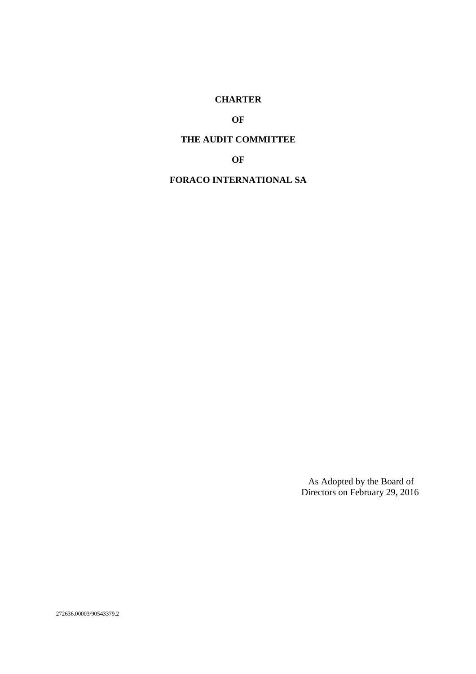#### **CHARTER**

**OF** 

# **THE AUDIT COMMITTEE**

**OF** 

**FORACO INTERNATIONAL SA** 

As Adopted by the Board of Directors on February 29, 2016

272636.00003/90543379.2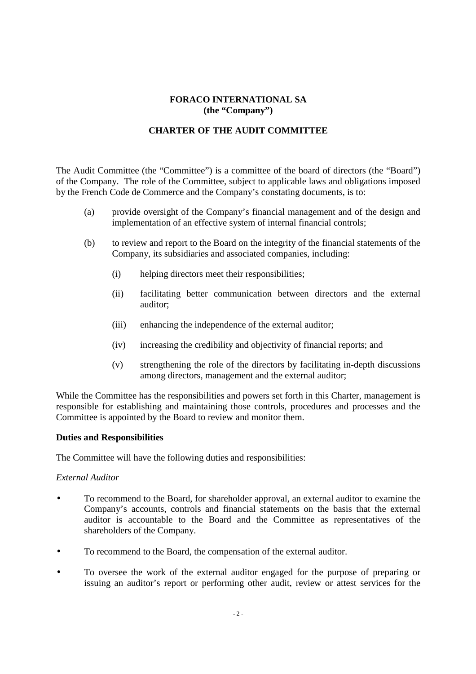## **FORACO INTERNATIONAL SA (the "Company")**

# **CHARTER OF THE AUDIT COMMITTEE**

The Audit Committee (the "Committee") is a committee of the board of directors (the "Board") of the Company. The role of the Committee, subject to applicable laws and obligations imposed by the French Code de Commerce and the Company's constating documents, is to:

- (a) provide oversight of the Company's financial management and of the design and implementation of an effective system of internal financial controls;
- (b) to review and report to the Board on the integrity of the financial statements of the Company, its subsidiaries and associated companies, including:
	- (i) helping directors meet their responsibilities;
	- (ii) facilitating better communication between directors and the external auditor;
	- (iii) enhancing the independence of the external auditor;
	- (iv) increasing the credibility and objectivity of financial reports; and
	- (v) strengthening the role of the directors by facilitating in-depth discussions among directors, management and the external auditor;

While the Committee has the responsibilities and powers set forth in this Charter, management is responsible for establishing and maintaining those controls, procedures and processes and the Committee is appointed by the Board to review and monitor them.

#### **Duties and Responsibilities**

The Committee will have the following duties and responsibilities:

#### *External Auditor*

- To recommend to the Board, for shareholder approval, an external auditor to examine the Company's accounts, controls and financial statements on the basis that the external auditor is accountable to the Board and the Committee as representatives of the shareholders of the Company.
- To recommend to the Board, the compensation of the external auditor.
- To oversee the work of the external auditor engaged for the purpose of preparing or issuing an auditor's report or performing other audit, review or attest services for the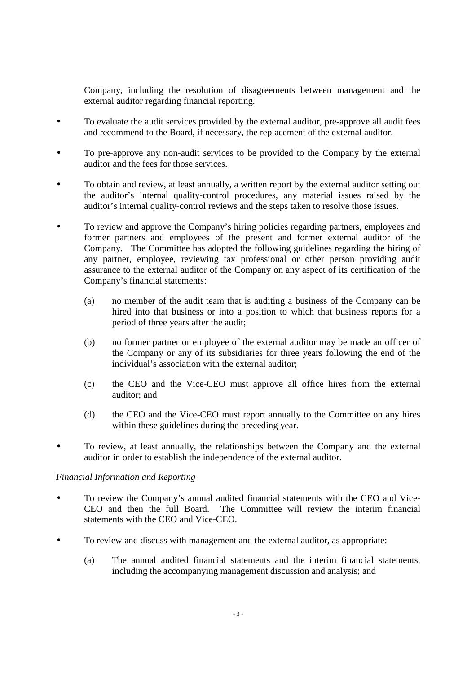Company, including the resolution of disagreements between management and the external auditor regarding financial reporting.

- To evaluate the audit services provided by the external auditor, pre-approve all audit fees and recommend to the Board, if necessary, the replacement of the external auditor.
- To pre-approve any non-audit services to be provided to the Company by the external auditor and the fees for those services.
- To obtain and review, at least annually, a written report by the external auditor setting out the auditor's internal quality-control procedures, any material issues raised by the auditor's internal quality-control reviews and the steps taken to resolve those issues.
- To review and approve the Company's hiring policies regarding partners, employees and former partners and employees of the present and former external auditor of the Company. The Committee has adopted the following guidelines regarding the hiring of any partner, employee, reviewing tax professional or other person providing audit assurance to the external auditor of the Company on any aspect of its certification of the Company's financial statements:
	- (a) no member of the audit team that is auditing a business of the Company can be hired into that business or into a position to which that business reports for a period of three years after the audit;
	- (b) no former partner or employee of the external auditor may be made an officer of the Company or any of its subsidiaries for three years following the end of the individual's association with the external auditor;
	- (c) the CEO and the Vice-CEO must approve all office hires from the external auditor; and
	- (d) the CEO and the Vice-CEO must report annually to the Committee on any hires within these guidelines during the preceding year.
- To review, at least annually, the relationships between the Company and the external auditor in order to establish the independence of the external auditor.

## *Financial Information and Reporting*

- To review the Company's annual audited financial statements with the CEO and Vice-CEO and then the full Board. The Committee will review the interim financial statements with the CEO and Vice-CEO.
- To review and discuss with management and the external auditor, as appropriate:
	- (a) The annual audited financial statements and the interim financial statements, including the accompanying management discussion and analysis; and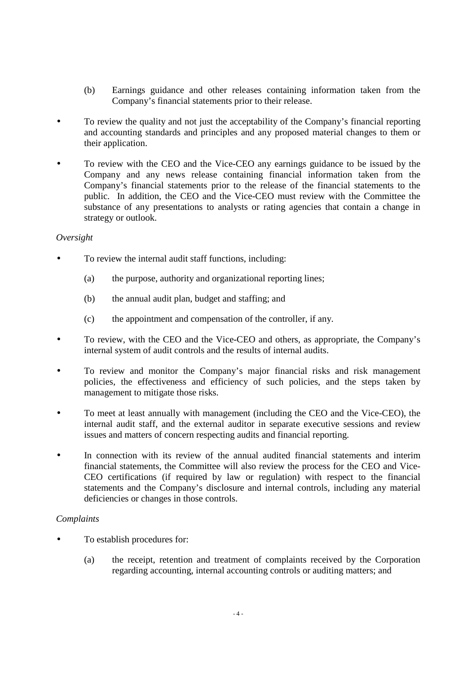- (b) Earnings guidance and other releases containing information taken from the Company's financial statements prior to their release.
- To review the quality and not just the acceptability of the Company's financial reporting and accounting standards and principles and any proposed material changes to them or their application.
- To review with the CEO and the Vice-CEO any earnings guidance to be issued by the Company and any news release containing financial information taken from the Company's financial statements prior to the release of the financial statements to the public. In addition, the CEO and the Vice-CEO must review with the Committee the substance of any presentations to analysts or rating agencies that contain a change in strategy or outlook.

## *Oversight*

- To review the internal audit staff functions, including:
	- (a) the purpose, authority and organizational reporting lines;
	- (b) the annual audit plan, budget and staffing; and
	- (c) the appointment and compensation of the controller, if any.
- To review, with the CEO and the Vice-CEO and others, as appropriate, the Company's internal system of audit controls and the results of internal audits.
- To review and monitor the Company's major financial risks and risk management policies, the effectiveness and efficiency of such policies, and the steps taken by management to mitigate those risks.
- To meet at least annually with management (including the CEO and the Vice-CEO), the internal audit staff, and the external auditor in separate executive sessions and review issues and matters of concern respecting audits and financial reporting.
- In connection with its review of the annual audited financial statements and interim financial statements, the Committee will also review the process for the CEO and Vice-CEO certifications (if required by law or regulation) with respect to the financial statements and the Company's disclosure and internal controls, including any material deficiencies or changes in those controls.

## *Complaints*

- To establish procedures for:
	- (a) the receipt, retention and treatment of complaints received by the Corporation regarding accounting, internal accounting controls or auditing matters; and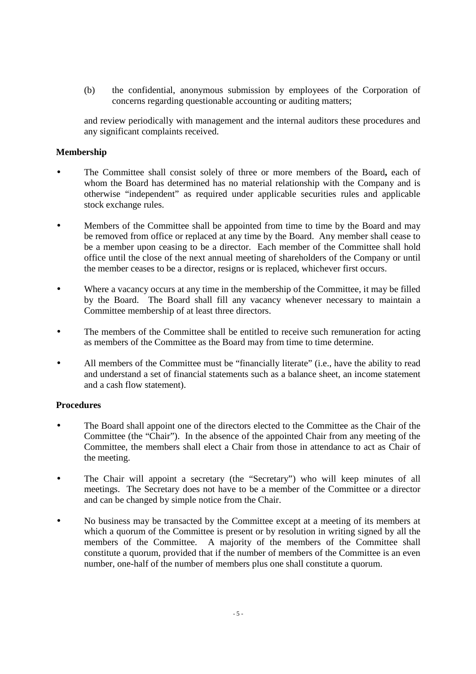(b) the confidential, anonymous submission by employees of the Corporation of concerns regarding questionable accounting or auditing matters;

and review periodically with management and the internal auditors these procedures and any significant complaints received.

#### **Membership**

- The Committee shall consist solely of three or more members of the Board**,** each of whom the Board has determined has no material relationship with the Company and is otherwise "independent" as required under applicable securities rules and applicable stock exchange rules.
- Members of the Committee shall be appointed from time to time by the Board and may be removed from office or replaced at any time by the Board. Any member shall cease to be a member upon ceasing to be a director. Each member of the Committee shall hold office until the close of the next annual meeting of shareholders of the Company or until the member ceases to be a director, resigns or is replaced, whichever first occurs.
- Where a vacancy occurs at any time in the membership of the Committee, it may be filled by the Board. The Board shall fill any vacancy whenever necessary to maintain a Committee membership of at least three directors.
- The members of the Committee shall be entitled to receive such remuneration for acting as members of the Committee as the Board may from time to time determine.
- All members of the Committee must be "financially literate" (i.e., have the ability to read and understand a set of financial statements such as a balance sheet, an income statement and a cash flow statement).

## **Procedures**

- The Board shall appoint one of the directors elected to the Committee as the Chair of the Committee (the "Chair"). In the absence of the appointed Chair from any meeting of the Committee, the members shall elect a Chair from those in attendance to act as Chair of the meeting.
- The Chair will appoint a secretary (the "Secretary") who will keep minutes of all meetings. The Secretary does not have to be a member of the Committee or a director and can be changed by simple notice from the Chair.
- No business may be transacted by the Committee except at a meeting of its members at which a quorum of the Committee is present or by resolution in writing signed by all the members of the Committee. A majority of the members of the Committee shall constitute a quorum, provided that if the number of members of the Committee is an even number, one-half of the number of members plus one shall constitute a quorum.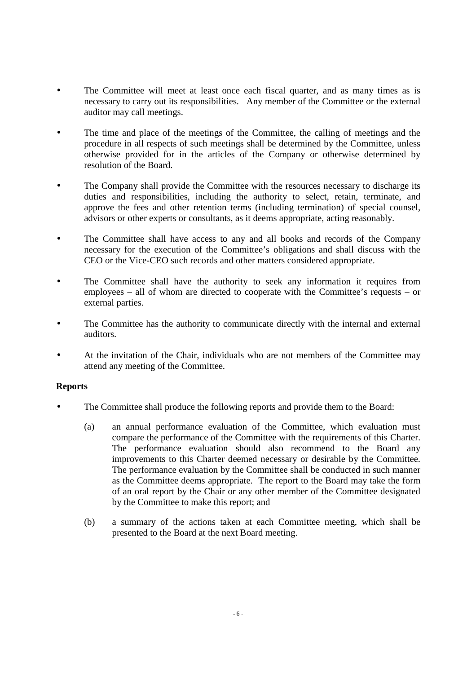- The Committee will meet at least once each fiscal quarter, and as many times as is necessary to carry out its responsibilities. Any member of the Committee or the external auditor may call meetings.
- The time and place of the meetings of the Committee, the calling of meetings and the procedure in all respects of such meetings shall be determined by the Committee, unless otherwise provided for in the articles of the Company or otherwise determined by resolution of the Board.
- The Company shall provide the Committee with the resources necessary to discharge its duties and responsibilities, including the authority to select, retain, terminate, and approve the fees and other retention terms (including termination) of special counsel, advisors or other experts or consultants, as it deems appropriate, acting reasonably.
- The Committee shall have access to any and all books and records of the Company necessary for the execution of the Committee's obligations and shall discuss with the CEO or the Vice-CEO such records and other matters considered appropriate.
- The Committee shall have the authority to seek any information it requires from employees – all of whom are directed to cooperate with the Committee's requests – or external parties.
- The Committee has the authority to communicate directly with the internal and external auditors.
- At the invitation of the Chair, individuals who are not members of the Committee may attend any meeting of the Committee.

## **Reports**

- The Committee shall produce the following reports and provide them to the Board:
	- (a) an annual performance evaluation of the Committee, which evaluation must compare the performance of the Committee with the requirements of this Charter. The performance evaluation should also recommend to the Board any improvements to this Charter deemed necessary or desirable by the Committee. The performance evaluation by the Committee shall be conducted in such manner as the Committee deems appropriate. The report to the Board may take the form of an oral report by the Chair or any other member of the Committee designated by the Committee to make this report; and
	- (b) a summary of the actions taken at each Committee meeting, which shall be presented to the Board at the next Board meeting.